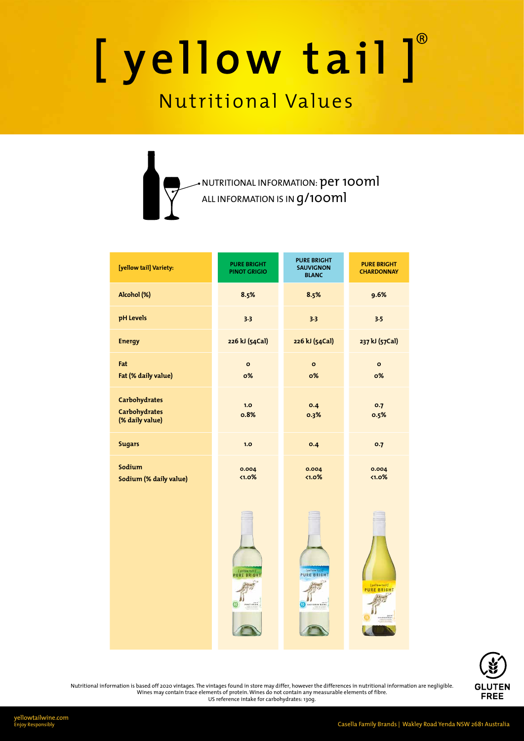| [yellow tail] Variety:                                          | <b>PURE BRIGHT</b><br><b>PINOT GRIGIO</b> | <b>PURE BRIGHT</b><br><b>SAUVIGNON</b><br><b>BLANC</b> | <b>PURE BRIGHT</b><br><b>CHARDONNAY</b> |  |
|-----------------------------------------------------------------|-------------------------------------------|--------------------------------------------------------|-----------------------------------------|--|
| Alcohol (%)                                                     | 8.5%                                      | 8.5%                                                   | 9.6%                                    |  |
| pH Levels                                                       | 3.3                                       | 3.3                                                    | 3.5                                     |  |
| <b>Energy</b>                                                   | 226 kJ (54Cal)                            | 226 kJ (54Cal)                                         | 237 kJ (57Cal)                          |  |
| Fat<br>Fat (% daily value)                                      | $\mathbf{o}$<br>0%                        | $\mathbf{o}$<br>$o\%$                                  | $\mathbf{o}$<br><b>o%</b>               |  |
| <b>Carbohydrates</b><br><b>Carbohydrates</b><br>(% daily value) | 1.0<br>0.8%                               | 0.4<br>0.3%                                            | 0.7<br>0.5%                             |  |
| <b>Sugars</b>                                                   | 1.0                                       | O.4                                                    | 0.7                                     |  |
| Sodium<br>Sodium (% daily value)                                | 0.004<br>$1.0\%$                          | 0.004<br>$1.0\%$                                       | 0.004<br>$1.0\%$                        |  |





yellowtailwine.com Enjoy Responsibly

## [yellow tail]

### Nutritional Values

NUTRITIONAL INFORMATION:  $\operatorname{\textsf{per}}$  100 $\operatorname{\textsf{ml}}$ ALL INFORMATION IS IN  $g/\mathfrak{1}$ OO $\mathfrak{m} \mathfrak{l}$ 

Casella Family Brands | Wakley Road Yenda NSW 2681 Australia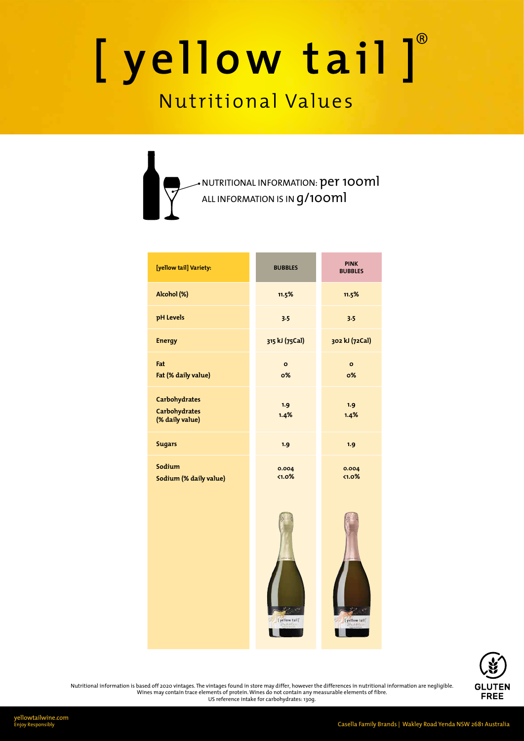| [yellow tail] Variety:                                          | <b>BUBBLES</b>     | <b>PINK</b><br><b>BUBBLES</b> |
|-----------------------------------------------------------------|--------------------|-------------------------------|
| Alcohol (%)                                                     | 11.5%              | 11.5%                         |
| pH Levels                                                       | 3.5                | 3.5                           |
| <b>Energy</b>                                                   | 315 kJ (75Cal)     | 302 kJ (72Cal)                |
| Fat<br>Fat (% daily value)                                      | $\mathbf{o}$<br>0% | $\mathbf{o}$<br>0%            |
| <b>Carbohydrates</b><br><b>Carbohydrates</b><br>(% daily value) | 1.9<br>1.4%        | 1.9<br>1.4%                   |
| <b>Sugars</b>                                                   | 1.9                | 1.9                           |
| Sodium<br>Sodium (% daily value)                                | 0.004<br>$1.0\%$   | 0.004<br>$1.0\%$              |









yellowtailwine.com

Casella Family Brands | Wakley Road Yenda NSW 2681 Australia

## [yellow tail]®

### Nutritional Values

NUTRITIONAL INFORMATION:  $\operatorname{\textsf{per}}$  100 $\operatorname{\textsf{ml}}$ ALL INFORMATION IS IN  $g/\mathfrak{1}$ OO $\mathfrak{m} \mathfrak{l}$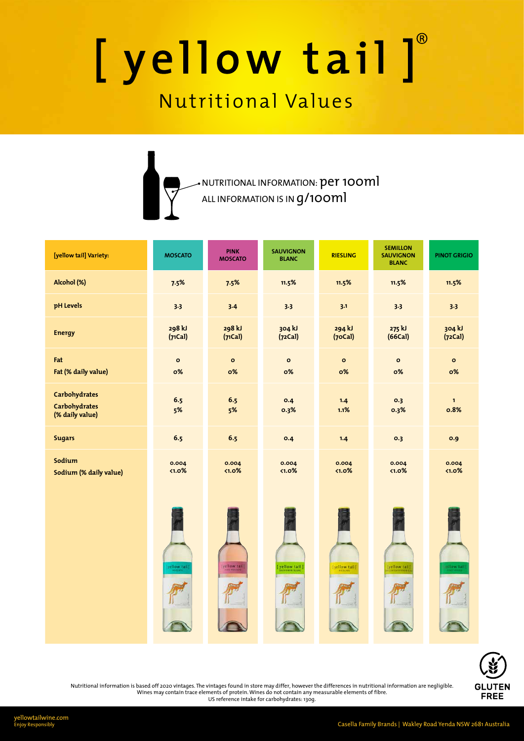yellowtailwine.com

Casella Family Brands | Wakley Road Yenda NSW 2681 Australia

| [yellow tail] Variety:                                          | <b>MOSCATO</b>     | <b>PINK</b><br><b>MOSCATO</b> | <b>SAUVIGNON</b><br><b>BLANC</b> | <b>RIESLING</b>   | <b>SEMILLON</b><br><b>SAUVIGNON</b><br><b>BLANC</b> | <b>PINOT GRIGIO</b>  |
|-----------------------------------------------------------------|--------------------|-------------------------------|----------------------------------|-------------------|-----------------------------------------------------|----------------------|
| Alcohol (%)                                                     | 7.5%               | 7.5%                          | 11.5%                            | 11.5%             | 11.5%                                               | 11.5%                |
| pH Levels                                                       | 3.3                | 3.4                           | 3.3                              | 3.1               | 3.3                                                 | 3.3                  |
| <b>Energy</b>                                                   | 298 kJ<br>(71Cal)  | 298 kJ<br>(71Cal)             | 304 kJ<br>(72Cal)                | 294 kJ<br>(70Cal) | 275 kJ<br>(66Cal)                                   | 304 kJ<br>(72Cal)    |
| Fat<br>Fat (% daily value)                                      | $\mathbf{o}$<br>0% | $\mathbf{o}$<br><b>o%</b>     | $\mathbf{o}$<br>0%               | $\circ$<br>0%     | $\mathbf{o}$<br>0%                                  | $\mathbf{o}$<br>0%   |
| <b>Carbohydrates</b><br><b>Carbohydrates</b><br>(% daily value) | 6.5<br>5%          | 6.5<br>5%                     | 0.4<br>0.3%                      | 1.4<br>1.1%       | O.3<br>0.3%                                         | $\mathbf{1}$<br>0.8% |
| <b>Sugars</b>                                                   | 6.5                | 6.5                           | 0.4                              | 1.4               | O.3                                                 | 0.9                  |
| Sodium<br>Sodium (% daily value)                                | 0.004<br>$1.0\%$   | 0.004<br>$1.0\%$              | 0.004<br>$1.0\%$                 | 0.004<br>$1.0\%$  | 0.004<br>$1.0\%$                                    | 0.004<br>$1.0\%$     |





## [yellow tail]®

### Nutritional Values

NUTRITIONAL INFORMATION:  $\operatorname{\textsf{per}}$  100 $\operatorname{\textsf{ml}}$ ALL INFORMATION IS IN  $g/\mathfrak{1}$ OO $\mathfrak{m} \mathfrak{l}$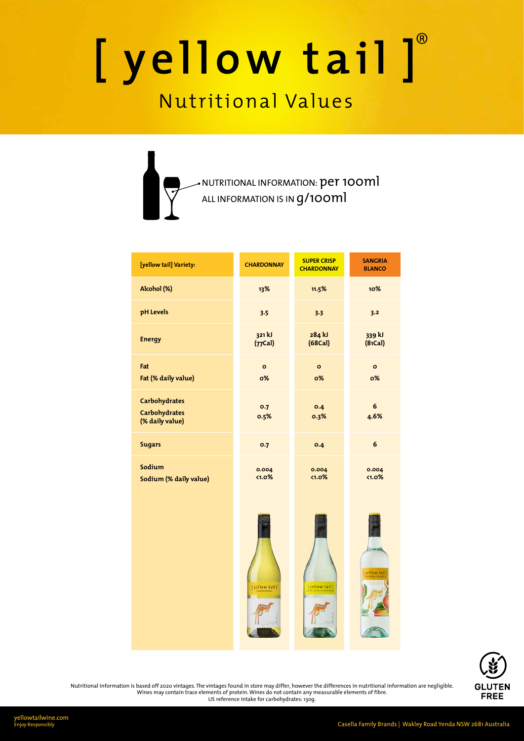| [yellow tail] Variety:                                          | <b>CHARDONNAY</b>    | <b>SUPER CRISP</b><br><b>CHARDONNAY</b> | <b>SANGRIA</b><br><b>BLANCO</b> |  |
|-----------------------------------------------------------------|----------------------|-----------------------------------------|---------------------------------|--|
| Alcohol (%)                                                     | 13%                  | 11.5%                                   | 10%                             |  |
| pH Levels                                                       | 3.5                  | 3.3                                     | 3.2                             |  |
| <b>Energy</b>                                                   | 321 kJ<br>$(77$ Cal) | 284 kJ<br>(68Cal)                       | 339 kJ<br>(81Cal)               |  |
| Fat<br>Fat (% daily value)                                      | $\mathbf{o}$<br>0%   | $\mathbf{o}$<br>0%                      | $\mathbf{o}$<br>0%              |  |
| <b>Carbohydrates</b><br><b>Carbohydrates</b><br>(% daily value) | 0.7<br>0.5%          | 0.4<br>0.3%                             | 6<br>4.6%                       |  |
| <b>Sugars</b>                                                   | 0.7                  | 0.4                                     | 6                               |  |
| Sodium<br>Sodium (% daily value)                                | 0.004<br><1.0%       | 0.004<br>$1.0\%$                        | 0.004<br>$1.0\%$                |  |







yellowtailwine.com

Casella Family Brands | Wakley Road Yenda NSW 2681 Australia

## [yellow tail]

### Nutritional Values

NUTRITIONAL INFORMATION:  $\operatorname{\textsf{per}}$  100 $\operatorname{\textsf{ml}}$ ALL INFORMATION IS IN  $g/\mathfrak{1}$ OO $\mathfrak{m} \mathfrak{l}$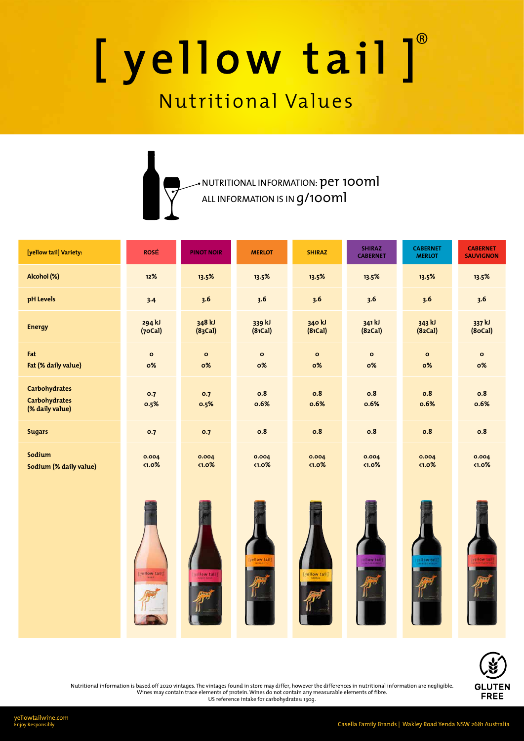| [yellow tail] Variety:                                          | <b>ROSÉ</b>        | <b>PINOT NOIR</b>         | <b>MERLOT</b>             | <b>SHIRAZ</b>      | <b>SHIRAZ</b><br><b>CABERNET</b> | <b>CABERNET</b><br><b>MERLOT</b> | <b>CABERNET</b><br><b>SAUVIGNON</b> |
|-----------------------------------------------------------------|--------------------|---------------------------|---------------------------|--------------------|----------------------------------|----------------------------------|-------------------------------------|
| Alcohol (%)                                                     | 12%                | 13.5%                     | 13.5%                     | 13.5%              | 13.5%                            | 13.5%                            | 13.5%                               |
| pH Levels                                                       | 3.4                | 3.6                       | 3.6                       | 3.6                | 3.6                              | 3.6                              | 3.6                                 |
| <b>Energy</b>                                                   | 294 kJ<br>(70Cal)  | 348 kJ<br>(83Cal)         | 339 kJ<br>(81Cal)         | 340 kJ<br>(81Cal)  | 341 kJ<br>(82Cal)                | 343 kJ<br>(82Cal)                | 337 kJ<br>(8oCal)                   |
| Fat<br>Fat (% daily value)                                      | $\mathbf{o}$<br>0% | $\mathbf{o}$<br><b>o%</b> | $\mathbf{o}$<br><b>o%</b> | $\mathbf{o}$<br>0% | $\mathbf{o}$<br><b>o%</b>        | $\mathbf{o}$<br><b>o%</b>        | $\mathbf{o}$<br><b>o%</b>           |
| <b>Carbohydrates</b><br><b>Carbohydrates</b><br>(% daily value) | 0.7<br>0.5%        | 0.7<br>0.5%               | 0.8<br>0.6%               | 0.8<br>0.6%        | <b>o.8</b><br>0.6%               | 0.8<br>0.6%                      | 0.8<br>0.6%                         |
| <b>Sugars</b>                                                   | 0.7                | 0.7                       | 0.8                       | 0.8                | <b>o.8</b>                       | 0.8                              | 0.8                                 |
| Sodium<br>Sodium (% daily value)                                | 0.004<br>$1.0\%$   | 0.004<br>$\langle 1.0\%$  | 0.004<br>$1.0\%$          | 0.004<br>$1.0\%$   | 0.004<br>$1.0\%$                 | 0.004<br>$1.0\%$                 | 0.004<br>$1.0\%$                    |





### [yellow tail]®

### Nutritional Values



Nutritional information is based off 2020 vintages. The vintages found in store may differ, however the differences in nutritional information are negligible. Wines may contain trace elements of protein. Wines do not contain any measurable elements of fibre. US reference intake for carbohydrates: 130g.

yellowtailwine.com<br>Enjoy Responsibly

Casella Family Brands | Wakley Road Yenda NSW 2681 Australia